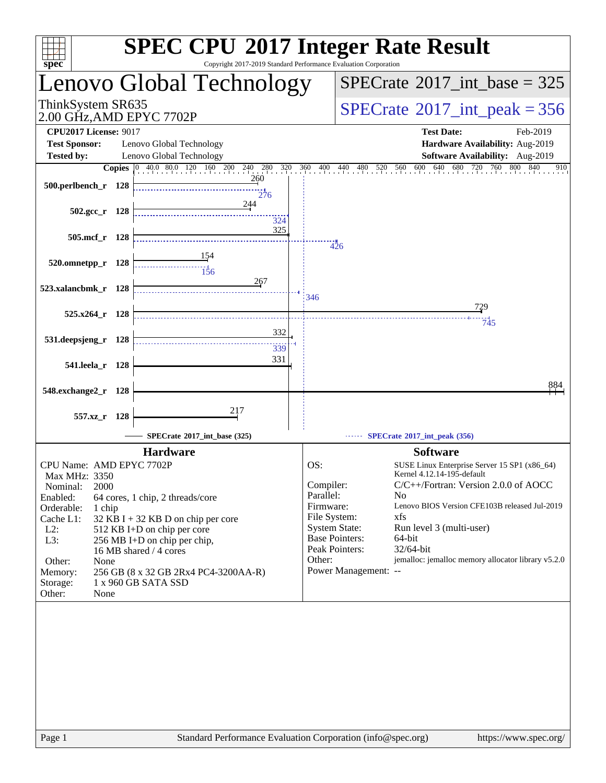| spec <sup>®</sup>                                    |     | Copyright 2017-2019 Standard Performance Evaluation Corporation |           | <b>SPEC CPU®2017 Integer Rate Result</b>                                            |
|------------------------------------------------------|-----|-----------------------------------------------------------------|-----------|-------------------------------------------------------------------------------------|
| enovo Global Technology.                             |     |                                                                 |           | $SPECrate^{\circledast}2017\_int\_base = 325$                                       |
| ThinkSystem SR635<br>2.00 GHz,AMD EPYC 7702P         |     |                                                                 |           | $SPECrate$ <sup>®</sup> $2017$ _int_peak = 356                                      |
| <b>CPU2017 License: 9017</b><br><b>Test Sponsor:</b> |     | Lenovo Global Technology                                        |           | <b>Test Date:</b><br>Feb-2019<br>Hardware Availability: Aug-2019                    |
| <b>Tested by:</b>                                    |     | Lenovo Global Technology                                        |           | Software Availability: Aug-2019                                                     |
|                                                      |     | <b>Copies</b> 0 40.0 80.0 120 160 200 240 280 320               | 360       | 600 640<br>680<br>760<br>800<br>840<br>400 440<br>560<br>720<br>910<br>480<br>520   |
| 500.perlbench_r 128                                  |     | <u>260</u><br>276                                               |           |                                                                                     |
| $502.\text{gcc r}$ 128                               |     | 244<br>324                                                      |           |                                                                                     |
| $505$ .mcf_r                                         | 128 | 325                                                             |           | 426                                                                                 |
| 520.omnetpp_r 128                                    |     | $\frac{11}{156}$                                                |           |                                                                                     |
| 523.xalancbmk_r 128                                  |     | 267                                                             | 346       |                                                                                     |
| 525.x264_r 128                                       |     |                                                                 |           | 729<br>745                                                                          |
| 531.deepsjeng_r 128                                  |     | 332<br>339                                                      |           |                                                                                     |
| 541.leela_r 128                                      |     | 331                                                             |           |                                                                                     |
| 548.exchange2_r                                      | 128 |                                                                 |           | 884                                                                                 |
| 557.xz_r 128                                         |     | 217                                                             |           |                                                                                     |
|                                                      |     | SPECrate*2017_int_base (325)                                    |           | SPECrate*2017_int_peak (356)                                                        |
|                                                      |     | <b>Hardware</b>                                                 |           | <b>Software</b>                                                                     |
| CPU Name: AMD EPYC 7702P                             |     |                                                                 | OS:       | SUSE Linux Enterprise Server 15 SP1 (x86_64)                                        |
| Max MHz: 3350                                        |     |                                                                 | Compiler: | Kernel 4.12.14-195-default<br>C/C++/Fortran: Version 2.0.0 of AOCC                  |
| 2000<br>Nominal:<br>Enabled:                         |     | 64 cores, 1 chip, 2 threads/core                                | Parallel: | N <sub>0</sub>                                                                      |
| Orderable:<br>1 chip                                 |     |                                                                 | Firmware: | Lenovo BIOS Version CFE103B released Jul-2019                                       |
| Cache L1:                                            |     | $32$ KB I + 32 KB D on chip per core                            |           | File System:<br>xfs                                                                 |
| $L2$ :<br>L3:                                        |     | 512 KB I+D on chip per core<br>256 MB I+D on chip per chip,     |           | <b>System State:</b><br>Run level 3 (multi-user)<br><b>Base Pointers:</b><br>64-bit |
|                                                      |     | 16 MB shared / 4 cores                                          |           | 32/64-bit<br>Peak Pointers:                                                         |
| Other:<br>None                                       |     |                                                                 | Other:    | jemalloc: jemalloc memory allocator library v5.2.0                                  |
| Memory:                                              |     | 256 GB (8 x 32 GB 2Rx4 PC4-3200AA-R)                            |           | Power Management: --                                                                |
| Storage:<br>Other:<br>None                           |     | 1 x 960 GB SATA SSD                                             |           |                                                                                     |
|                                                      |     |                                                                 |           |                                                                                     |
|                                                      |     |                                                                 |           |                                                                                     |
|                                                      |     |                                                                 |           |                                                                                     |
|                                                      |     |                                                                 |           |                                                                                     |
|                                                      |     |                                                                 |           |                                                                                     |
|                                                      |     |                                                                 |           |                                                                                     |
|                                                      |     |                                                                 |           |                                                                                     |
|                                                      |     |                                                                 |           |                                                                                     |
|                                                      |     |                                                                 |           |                                                                                     |
|                                                      |     |                                                                 |           |                                                                                     |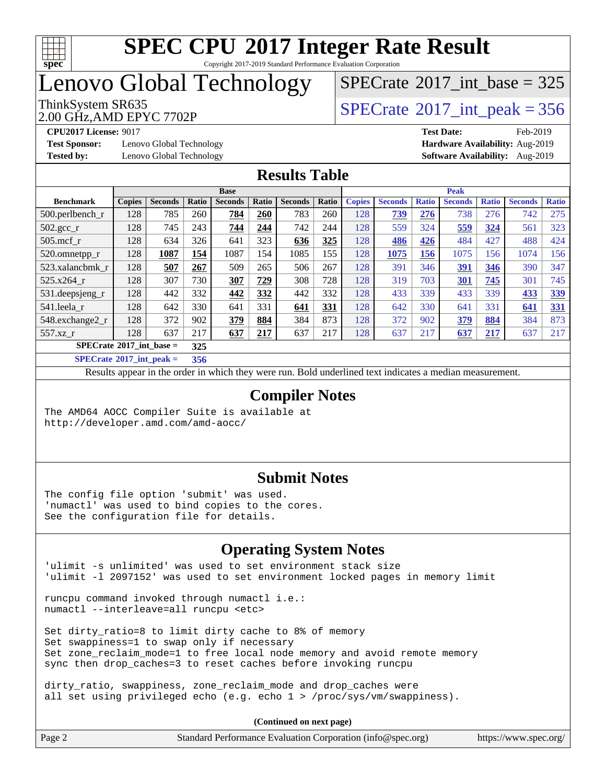

#### **[SPEC CPU](http://www.spec.org/auto/cpu2017/Docs/result-fields.html#SPECCPU2017IntegerRateResult)[2017 Integer Rate Result](http://www.spec.org/auto/cpu2017/Docs/result-fields.html#SPECCPU2017IntegerRateResult)** Copyright 2017-2019 Standard Performance Evaluation Corporation

# Lenovo Global Technology

## $SPECTate@2017_int\_base = 325$

2.00 GHz,AMD EPYC 7702P

ThinkSystem SR635<br>2.00 GHz AMD EPYC 7702P<br> $\begin{array}{c} | \text{SPECrate}^{\circ}2017\_int\_peak = 356 \end{array}$  $\begin{array}{c} | \text{SPECrate}^{\circ}2017\_int\_peak = 356 \end{array}$  $\begin{array}{c} | \text{SPECrate}^{\circ}2017\_int\_peak = 356 \end{array}$ 

**[Test Sponsor:](http://www.spec.org/auto/cpu2017/Docs/result-fields.html#TestSponsor)** Lenovo Global Technology **[Hardware Availability:](http://www.spec.org/auto/cpu2017/Docs/result-fields.html#HardwareAvailability)** Aug-2019 **[Tested by:](http://www.spec.org/auto/cpu2017/Docs/result-fields.html#Testedby)** Lenovo Global Technology **[Software Availability:](http://www.spec.org/auto/cpu2017/Docs/result-fields.html#SoftwareAvailability)** Aug-2019

**[CPU2017 License:](http://www.spec.org/auto/cpu2017/Docs/result-fields.html#CPU2017License)** 9017 **[Test Date:](http://www.spec.org/auto/cpu2017/Docs/result-fields.html#TestDate)** Feb-2019

#### **[Results Table](http://www.spec.org/auto/cpu2017/Docs/result-fields.html#ResultsTable)**

|                                          |               |                |       | <b>Base</b>    |       |                |       |               |                |              | <b>Peak</b>    |              |                |              |
|------------------------------------------|---------------|----------------|-------|----------------|-------|----------------|-------|---------------|----------------|--------------|----------------|--------------|----------------|--------------|
| <b>Benchmark</b>                         | <b>Copies</b> | <b>Seconds</b> | Ratio | <b>Seconds</b> | Ratio | <b>Seconds</b> | Ratio | <b>Copies</b> | <b>Seconds</b> | <b>Ratio</b> | <b>Seconds</b> | <b>Ratio</b> | <b>Seconds</b> | <b>Ratio</b> |
| $500.$ perlbench_r                       | 128           | 785            | 260   | 784            | 260   | 783            | 260   | 128           | 739            | 276          | 738            | 276          | 742            | 275          |
| $502.\text{gcc\_r}$                      | 128           | 745            | 243   | 744            | 244   | 742            | 244   | 128           | 559            | 324          | 559            | 324          | 561            | 323          |
| $505$ .mcf r                             | 128           | 634            | 326   | 641            | 323   | 636            | 325   | 128           | 486            | 426          | 484            | 427          | 488            | 424          |
| 520.omnetpp_r                            | 128           | 1087           | 154   | 1087           | 154   | 1085           | 155   | 128           | 1075           | 156          | 1075           | 156          | 1074           | 156          |
| 523.xalancbmk r                          | 128           | 507            | 267   | 509            | 265   | 506            | 267   | 128           | 391            | 346          | <b>391</b>     | 346          | 390            | 347          |
| 525.x264 r                               | 128           | 307            | 730   | 307            | 729   | 308            | 728   | 128           | 319            | 703          | 301            | 745          | 301            | 745          |
| 531.deepsjeng_r                          | 128           | 442            | 332   | 442            | 332   | 442            | 332   | 128           | 433            | 339          | 433            | 339          | 433            | 339          |
| 541.leela r                              | 128           | 642            | 330   | 641            | 331   | 641            | 331   | 128           | 642            | 330          | 641            | 331          | 641            | <u>331</u>   |
| 548.exchange2 r                          | 128           | 372            | 902   | 379            | 884   | 384            | 873   | 128           | 372            | 902          | 379            | 884          | 384            | 873          |
| 557.xz r                                 | 128           | 637            | 217   | 637            | 217   | 637            | 217   | 128           | 637            | 217          | 637            | 217          | 637            | 217          |
| $SPECrate^{\circ}2017$ int base =<br>325 |               |                |       |                |       |                |       |               |                |              |                |              |                |              |
| $C1 + A2 + A3 + A4 + A5$                 |               |                | ---   |                |       |                |       |               |                |              |                |              |                |              |

**[SPECrate](http://www.spec.org/auto/cpu2017/Docs/result-fields.html#SPECrate2017intpeak)[2017\\_int\\_peak =](http://www.spec.org/auto/cpu2017/Docs/result-fields.html#SPECrate2017intpeak) 356**

Results appear in the [order in which they were run](http://www.spec.org/auto/cpu2017/Docs/result-fields.html#RunOrder). Bold underlined text [indicates a median measurement](http://www.spec.org/auto/cpu2017/Docs/result-fields.html#Median).

#### **[Compiler Notes](http://www.spec.org/auto/cpu2017/Docs/result-fields.html#CompilerNotes)**

The AMD64 AOCC Compiler Suite is available at <http://developer.amd.com/amd-aocc/>

#### **[Submit Notes](http://www.spec.org/auto/cpu2017/Docs/result-fields.html#SubmitNotes)**

The config file option 'submit' was used. 'numactl' was used to bind copies to the cores. See the configuration file for details.

### **[Operating System Notes](http://www.spec.org/auto/cpu2017/Docs/result-fields.html#OperatingSystemNotes)**

'ulimit -s unlimited' was used to set environment stack size 'ulimit -l 2097152' was used to set environment locked pages in memory limit

runcpu command invoked through numactl i.e.: numactl --interleave=all runcpu <etc>

Set dirty\_ratio=8 to limit dirty cache to 8% of memory Set swappiness=1 to swap only if necessary Set zone\_reclaim\_mode=1 to free local node memory and avoid remote memory sync then drop\_caches=3 to reset caches before invoking runcpu

dirty\_ratio, swappiness, zone\_reclaim\_mode and drop\_caches were all set using privileged echo (e.g. echo 1 > /proc/sys/vm/swappiness).

| Page 2<br>Standard Performance Evaluation Corporation (info@spec.org)<br>https://www.spec.org/ |
|------------------------------------------------------------------------------------------------|
|------------------------------------------------------------------------------------------------|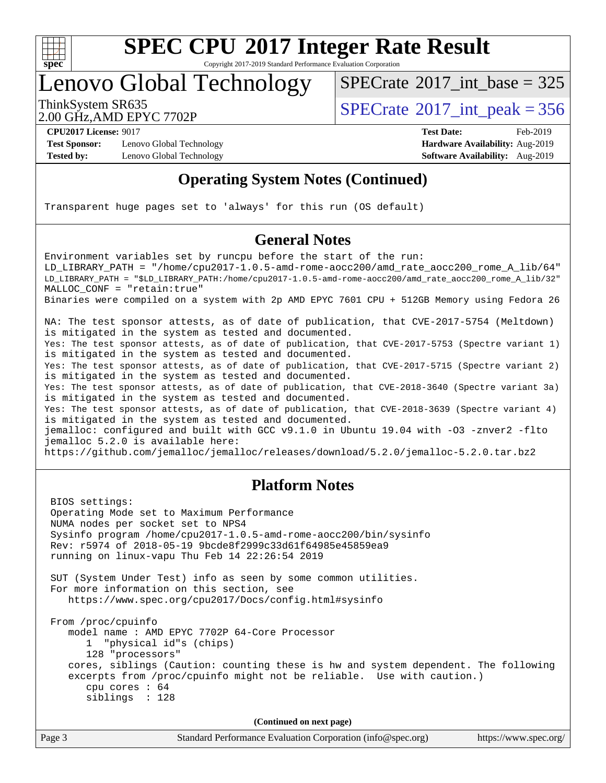

Copyright 2017-2019 Standard Performance Evaluation Corporation

# Lenovo Global Technology

 $SPECTate@2017_int\_base = 325$ 

2.00 GHz,AMD EPYC 7702P

ThinkSystem SR635<br>2.00 GHz AMD ERVC 7702R

**[Test Sponsor:](http://www.spec.org/auto/cpu2017/Docs/result-fields.html#TestSponsor)** Lenovo Global Technology **[Hardware Availability:](http://www.spec.org/auto/cpu2017/Docs/result-fields.html#HardwareAvailability)** Aug-2019 **[Tested by:](http://www.spec.org/auto/cpu2017/Docs/result-fields.html#Testedby)** Lenovo Global Technology **[Software Availability:](http://www.spec.org/auto/cpu2017/Docs/result-fields.html#SoftwareAvailability)** Aug-2019

**[CPU2017 License:](http://www.spec.org/auto/cpu2017/Docs/result-fields.html#CPU2017License)** 9017 **[Test Date:](http://www.spec.org/auto/cpu2017/Docs/result-fields.html#TestDate)** Feb-2019

### **[Operating System Notes \(Continued\)](http://www.spec.org/auto/cpu2017/Docs/result-fields.html#OperatingSystemNotes)**

Transparent huge pages set to 'always' for this run (OS default)

### **[General Notes](http://www.spec.org/auto/cpu2017/Docs/result-fields.html#GeneralNotes)**

Environment variables set by runcpu before the start of the run: LD LIBRARY PATH = "/home/cpu2017-1.0.5-amd-rome-aocc200/amd rate aocc200 rome A lib/64" LD\_LIBRARY\_PATH = "\$LD\_LIBRARY\_PATH:/home/cpu2017-1.0.5-amd-rome-aocc200/amd\_rate\_aocc200\_rome\_A\_lib/32" MALLOC\_CONF = "retain:true" Binaries were compiled on a system with 2p AMD EPYC 7601 CPU + 512GB Memory using Fedora 26 NA: The test sponsor attests, as of date of publication, that CVE-2017-5754 (Meltdown) is mitigated in the system as tested and documented. Yes: The test sponsor attests, as of date of publication, that CVE-2017-5753 (Spectre variant 1) is mitigated in the system as tested and documented. Yes: The test sponsor attests, as of date of publication, that CVE-2017-5715 (Spectre variant 2) is mitigated in the system as tested and documented. Yes: The test sponsor attests, as of date of publication, that CVE-2018-3640 (Spectre variant 3a) is mitigated in the system as tested and documented. Yes: The test sponsor attests, as of date of publication, that CVE-2018-3639 (Spectre variant 4) is mitigated in the system as tested and documented. jemalloc: configured and built with GCC v9.1.0 in Ubuntu 19.04 with -O3 -znver2 -flto jemalloc 5.2.0 is available here: <https://github.com/jemalloc/jemalloc/releases/download/5.2.0/jemalloc-5.2.0.tar.bz2>

#### **[Platform Notes](http://www.spec.org/auto/cpu2017/Docs/result-fields.html#PlatformNotes)**

 BIOS settings: Operating Mode set to Maximum Performance NUMA nodes per socket set to NPS4 Sysinfo program /home/cpu2017-1.0.5-amd-rome-aocc200/bin/sysinfo Rev: r5974 of 2018-05-19 9bcde8f2999c33d61f64985e45859ea9 running on linux-vapu Thu Feb 14 22:26:54 2019 SUT (System Under Test) info as seen by some common utilities. For more information on this section, see <https://www.spec.org/cpu2017/Docs/config.html#sysinfo> From /proc/cpuinfo model name : AMD EPYC 7702P 64-Core Processor 1 "physical id"s (chips) 128 "processors" cores, siblings (Caution: counting these is hw and system dependent. The following excerpts from /proc/cpuinfo might not be reliable. Use with caution.) cpu cores : 64 siblings : 128 **(Continued on next page)**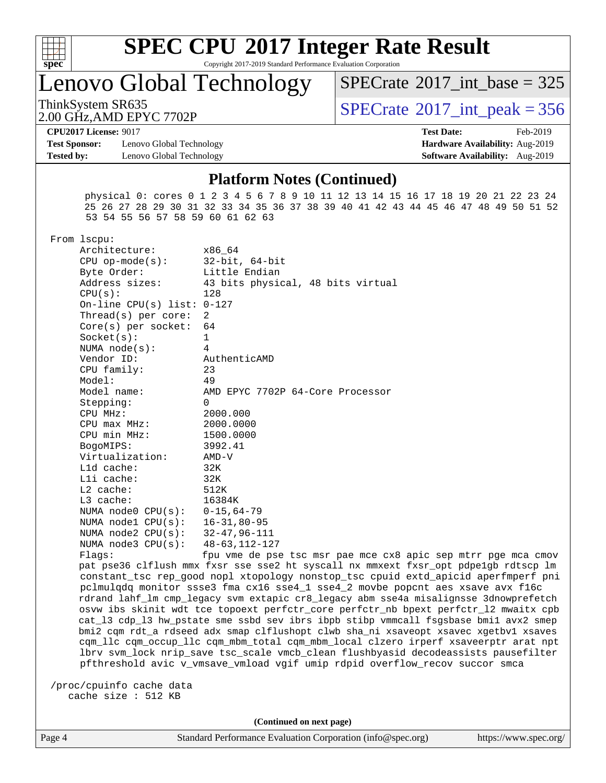

Copyright 2017-2019 Standard Performance Evaluation Corporation

Lenovo Global Technology

 $SPECTate$ <sup>®</sup>[2017\\_int\\_base =](http://www.spec.org/auto/cpu2017/Docs/result-fields.html#SPECrate2017intbase) 325

2.00 GHz,AMD EPYC 7702P

ThinkSystem SR635<br>2.00 GHz AMD EPYC 7702P<br> $\begin{array}{c} | \text{SPECrate}^{\circ}2017\_int\_peak = 356 \end{array}$  $\begin{array}{c} | \text{SPECrate}^{\circ}2017\_int\_peak = 356 \end{array}$  $\begin{array}{c} | \text{SPECrate}^{\circ}2017\_int\_peak = 356 \end{array}$ 

**[Test Sponsor:](http://www.spec.org/auto/cpu2017/Docs/result-fields.html#TestSponsor)** Lenovo Global Technology **[Hardware Availability:](http://www.spec.org/auto/cpu2017/Docs/result-fields.html#HardwareAvailability)** Aug-2019 **[Tested by:](http://www.spec.org/auto/cpu2017/Docs/result-fields.html#Testedby)** Lenovo Global Technology **[Software Availability:](http://www.spec.org/auto/cpu2017/Docs/result-fields.html#SoftwareAvailability)** Aug-2019

**[CPU2017 License:](http://www.spec.org/auto/cpu2017/Docs/result-fields.html#CPU2017License)** 9017 **[Test Date:](http://www.spec.org/auto/cpu2017/Docs/result-fields.html#TestDate)** Feb-2019

#### **[Platform Notes \(Continued\)](http://www.spec.org/auto/cpu2017/Docs/result-fields.html#PlatformNotes)**

 physical 0: cores 0 1 2 3 4 5 6 7 8 9 10 11 12 13 14 15 16 17 18 19 20 21 22 23 24 25 26 27 28 29 30 31 32 33 34 35 36 37 38 39 40 41 42 43 44 45 46 47 48 49 50 51 52 53 54 55 56 57 58 59 60 61 62 63

From lscpu:

| Architecture:                     | x86 64                                                     |
|-----------------------------------|------------------------------------------------------------|
| $CPU$ op-mode(s):                 | 32-bit, 64-bit                                             |
| Byte Order:                       | Little Endian                                              |
| Address sizes:                    | 43 bits physical, 48 bits virtual                          |
| CPU(s):                           | 128                                                        |
| On-line CPU(s) list: $0-127$      |                                                            |
| $Thread(s)$ per core:             | 2                                                          |
| Core(s) per socket: $64$          |                                                            |
| Socket(s):                        | $\mathbf{1}$                                               |
| NUMA $node(s):$                   | 4                                                          |
| Vendor ID:                        | AuthenticAMD                                               |
| $CPU$ family:                     | 23                                                         |
| Model:                            | 49                                                         |
| Model name:                       | AMD EPYC 7702P 64-Core Processor                           |
| Stepping:                         | $\Omega$                                                   |
| CPU MHz:                          | 2000.000                                                   |
| $CPU$ max $MHz$ :                 | 2000.0000                                                  |
| CPU min MHz:                      | 1500.0000                                                  |
| BogoMIPS:                         | 3992.41                                                    |
| Virtualization:                   | AMD-V                                                      |
| $L1d$ cache:                      | 32K                                                        |
| Lli cache:                        | 32K                                                        |
| $L2$ cache:                       | 512K                                                       |
| $L3$ cache:                       | 16384K                                                     |
| NUMA node0 $CPU(s): 0-15, 64-79$  |                                                            |
| NUMA node1 CPU(s): 16-31,80-95    |                                                            |
| NUMA node2 $CPU(s): 32-47,96-111$ |                                                            |
| NUMA node3 CPU(s): 48-63, 112-127 |                                                            |
| Flaqs:                            | fpu vme de pse tsc msr pae mce cx8 a                       |
|                                   | pat pse36 clflush mmx fxsr sse sse2 ht syscall nx mmxext : |
|                                   | constant tsc rep good nopl xtopology nonstop tsc cpuid a   |

apic sep mtrr pge mca cmov fxsr\_opt pdpe1gb rdtscp lm ogy nonstop\_tsc cpuid extd\_apicid aperfmperf pni pclmulqdq monitor ssse3 fma cx16 sse4\_1 sse4\_2 movbe popcnt aes xsave avx f16c rdrand lahf\_lm cmp\_legacy svm extapic cr8\_legacy abm sse4a misalignsse 3dnowprefetch osvw ibs skinit wdt tce topoext perfctr\_core perfctr\_nb bpext perfctr\_l2 mwaitx cpb cat\_l3 cdp\_l3 hw\_pstate sme ssbd sev ibrs ibpb stibp vmmcall fsgsbase bmi1 avx2 smep bmi2 cqm rdt\_a rdseed adx smap clflushopt clwb sha\_ni xsaveopt xsavec xgetbv1 xsaves cqm\_llc cqm\_occup\_llc cqm\_mbm\_total cqm\_mbm\_local clzero irperf xsaveerptr arat npt lbrv svm\_lock nrip\_save tsc\_scale vmcb\_clean flushbyasid decodeassists pausefilter pfthreshold avic v\_vmsave\_vmload vgif umip rdpid overflow\_recov succor smca

 /proc/cpuinfo cache data cache size : 512 KB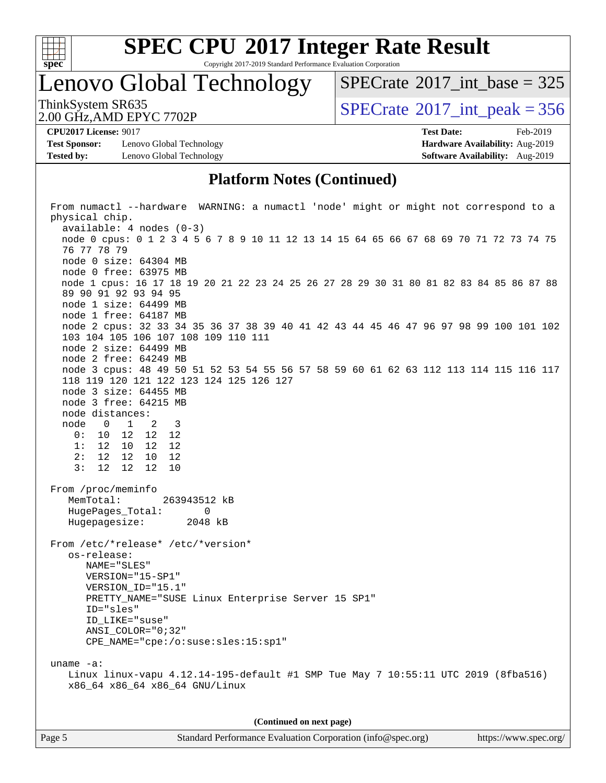

Copyright 2017-2019 Standard Performance Evaluation Corporation

Lenovo Global Technology

 $SPECTate$ <sup>®</sup>[2017\\_int\\_base =](http://www.spec.org/auto/cpu2017/Docs/result-fields.html#SPECrate2017intbase) 325

2.00 GHz,AMD EPYC 7702P

ThinkSystem SR635<br>2.00 GHz AMD EPVC 7702P

**[Test Sponsor:](http://www.spec.org/auto/cpu2017/Docs/result-fields.html#TestSponsor)** Lenovo Global Technology **[Hardware Availability:](http://www.spec.org/auto/cpu2017/Docs/result-fields.html#HardwareAvailability)** Aug-2019 **[Tested by:](http://www.spec.org/auto/cpu2017/Docs/result-fields.html#Testedby)** Lenovo Global Technology **[Software Availability:](http://www.spec.org/auto/cpu2017/Docs/result-fields.html#SoftwareAvailability)** Aug-2019

**[CPU2017 License:](http://www.spec.org/auto/cpu2017/Docs/result-fields.html#CPU2017License)** 9017 **[Test Date:](http://www.spec.org/auto/cpu2017/Docs/result-fields.html#TestDate)** Feb-2019

### **[Platform Notes \(Continued\)](http://www.spec.org/auto/cpu2017/Docs/result-fields.html#PlatformNotes)**

 From numactl --hardware WARNING: a numactl 'node' might or might not correspond to a physical chip. available: 4 nodes (0-3) node 0 cpus: 0 1 2 3 4 5 6 7 8 9 10 11 12 13 14 15 64 65 66 67 68 69 70 71 72 73 74 75 76 77 78 79 node 0 size: 64304 MB node 0 free: 63975 MB node 1 cpus: 16 17 18 19 20 21 22 23 24 25 26 27 28 29 30 31 80 81 82 83 84 85 86 87 88 89 90 91 92 93 94 95 node 1 size: 64499 MB node 1 free: 64187 MB node 2 cpus: 32 33 34 35 36 37 38 39 40 41 42 43 44 45 46 47 96 97 98 99 100 101 102 103 104 105 106 107 108 109 110 111 node 2 size: 64499 MB node 2 free: 64249 MB node 3 cpus: 48 49 50 51 52 53 54 55 56 57 58 59 60 61 62 63 112 113 114 115 116 117 118 119 120 121 122 123 124 125 126 127 node 3 size: 64455 MB node 3 free: 64215 MB node distances: node 0 1 2 3 0: 10 12 12 12 1: 12 10 12 12 2: 12 12 10 12 3: 12 12 12 10 From /proc/meminfo MemTotal: 263943512 kB HugePages\_Total: 0 Hugepagesize: 2048 kB From /etc/\*release\* /etc/\*version\* os-release: NAME="SLES" VERSION="15-SP1" VERSION\_ID="15.1" PRETTY\_NAME="SUSE Linux Enterprise Server 15 SP1" ID="sles" ID\_LIKE="suse" ANSI\_COLOR="0;32" CPE\_NAME="cpe:/o:suse:sles:15:sp1" uname -a: Linux linux-vapu 4.12.14-195-default #1 SMP Tue May 7 10:55:11 UTC 2019 (8fba516) x86\_64 x86\_64 x86\_64 GNU/Linux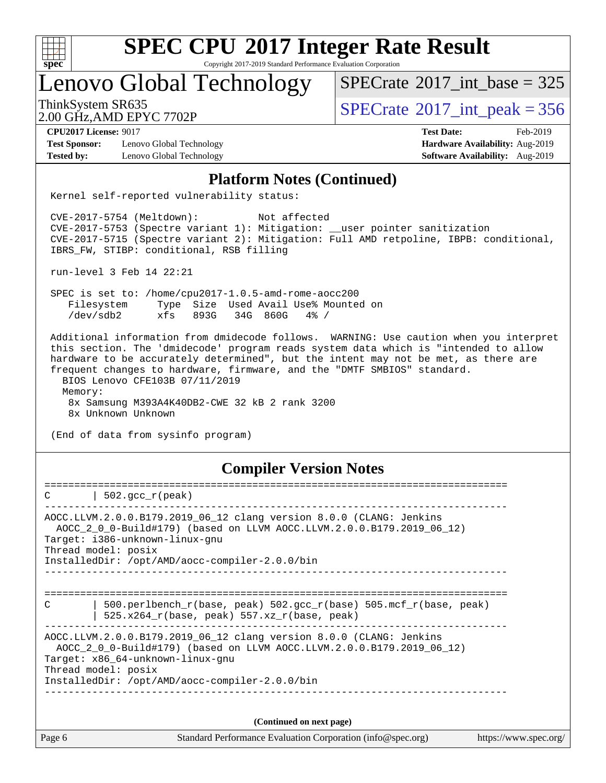

Copyright 2017-2019 Standard Performance Evaluation Corporation

Lenovo Global Technology

 $SPECTate$ <sup>®</sup>[2017\\_int\\_base =](http://www.spec.org/auto/cpu2017/Docs/result-fields.html#SPECrate2017intbase) 325

2.00 GHz,AMD EPYC 7702P

ThinkSystem SR635<br>2.00 GHz AMD EPYC 7702P<br> $\begin{array}{c} | \text{SPECrate}^{\circ}2017\_int\_peak = 356 \end{array}$  $\begin{array}{c} | \text{SPECrate}^{\circ}2017\_int\_peak = 356 \end{array}$  $\begin{array}{c} | \text{SPECrate}^{\circ}2017\_int\_peak = 356 \end{array}$ 

**[CPU2017 License:](http://www.spec.org/auto/cpu2017/Docs/result-fields.html#CPU2017License)** 9017 **[Test Date:](http://www.spec.org/auto/cpu2017/Docs/result-fields.html#TestDate)** Feb-2019

**[Test Sponsor:](http://www.spec.org/auto/cpu2017/Docs/result-fields.html#TestSponsor)** Lenovo Global Technology **[Hardware Availability:](http://www.spec.org/auto/cpu2017/Docs/result-fields.html#HardwareAvailability)** Aug-2019 **[Tested by:](http://www.spec.org/auto/cpu2017/Docs/result-fields.html#Testedby)** Lenovo Global Technology **[Software Availability:](http://www.spec.org/auto/cpu2017/Docs/result-fields.html#SoftwareAvailability)** Aug-2019

#### **[Platform Notes \(Continued\)](http://www.spec.org/auto/cpu2017/Docs/result-fields.html#PlatformNotes)**

Kernel self-reported vulnerability status:

 CVE-2017-5754 (Meltdown): Not affected CVE-2017-5753 (Spectre variant 1): Mitigation: \_\_user pointer sanitization CVE-2017-5715 (Spectre variant 2): Mitigation: Full AMD retpoline, IBPB: conditional, IBRS\_FW, STIBP: conditional, RSB filling

run-level 3 Feb 14 22:21

 SPEC is set to: /home/cpu2017-1.0.5-amd-rome-aocc200 Filesystem Type Size Used Avail Use% Mounted on /dev/sdb2 xfs 893G 34G 860G 4% /

 Additional information from dmidecode follows. WARNING: Use caution when you interpret this section. The 'dmidecode' program reads system data which is "intended to allow hardware to be accurately determined", but the intent may not be met, as there are frequent changes to hardware, firmware, and the "DMTF SMBIOS" standard. BIOS Lenovo CFE103B 07/11/2019 Memory: 8x Samsung M393A4K40DB2-CWE 32 kB 2 rank 3200

8x Unknown Unknown

(End of data from sysinfo program)

#### **[Compiler Version Notes](http://www.spec.org/auto/cpu2017/Docs/result-fields.html#CompilerVersionNotes)**

| $502.\text{gcc\_r}(\text{peak})$<br>C                                                                                                                                                                                                                     |
|-----------------------------------------------------------------------------------------------------------------------------------------------------------------------------------------------------------------------------------------------------------|
| AOCC.LLVM.2.0.0.B179.2019 06 12 clang version 8.0.0 (CLANG: Jenkins<br>AOCC_2_0_0-Build#179) (based on LLVM AOCC.LLVM.2.0.0.B179.2019_06_12)<br>Target: i386-unknown-linux-gnu<br>Thread model: posix<br>InstalledDir: /opt/AMD/aocc-compiler-2.0.0/bin   |
|                                                                                                                                                                                                                                                           |
| $\mathcal{C}$<br>500.perlbench $r(base, peak)$ 502.gcc $r(base)$ 505.mcf $r(base, peak)$<br>525.x264 $r(base, peak)$ 557.xz $r(base, peak)$                                                                                                               |
| AOCC.LLVM.2.0.0.B179.2019_06_12 clang version 8.0.0 (CLANG: Jenkins<br>AOCC 2 0 0-Build#179) (based on LLVM AOCC.LLVM.2.0.0.B179.2019 06 12)<br>Target: x86 64-unknown-linux-gnu<br>Thread model: posix<br>InstalledDir: /opt/AMD/aocc-compiler-2.0.0/bin |
|                                                                                                                                                                                                                                                           |
| (Continued on next page)                                                                                                                                                                                                                                  |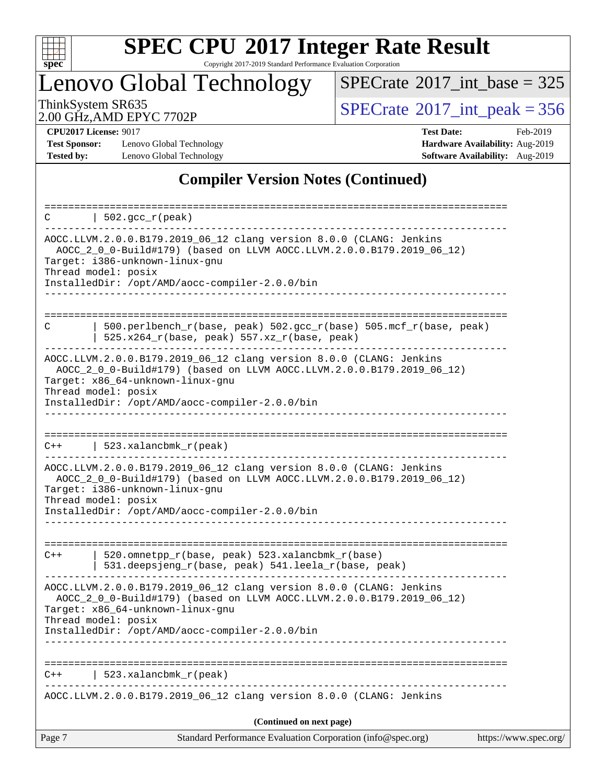

Copyright 2017-2019 Standard Performance Evaluation Corporation

Lenovo Global Technology

 $SPECrate$ <sup>®</sup>[2017\\_int\\_base =](http://www.spec.org/auto/cpu2017/Docs/result-fields.html#SPECrate2017intbase) 325

2.00 GHz,AMD EPYC 7702P

ThinkSystem SR635<br>
2.00 GHz AMD EPYC 7702P<br> [SPECrate](http://www.spec.org/auto/cpu2017/Docs/result-fields.html#SPECrate2017intpeak)®[2017\\_int\\_peak = 3](http://www.spec.org/auto/cpu2017/Docs/result-fields.html#SPECrate2017intpeak)56

**[Test Sponsor:](http://www.spec.org/auto/cpu2017/Docs/result-fields.html#TestSponsor)** Lenovo Global Technology **[Hardware Availability:](http://www.spec.org/auto/cpu2017/Docs/result-fields.html#HardwareAvailability)** Aug-2019 **[Tested by:](http://www.spec.org/auto/cpu2017/Docs/result-fields.html#Testedby)** Lenovo Global Technology **[Software Availability:](http://www.spec.org/auto/cpu2017/Docs/result-fields.html#SoftwareAvailability)** Aug-2019

**[CPU2017 License:](http://www.spec.org/auto/cpu2017/Docs/result-fields.html#CPU2017License)** 9017 **[Test Date:](http://www.spec.org/auto/cpu2017/Docs/result-fields.html#TestDate)** Feb-2019

### **[Compiler Version Notes \(Continued\)](http://www.spec.org/auto/cpu2017/Docs/result-fields.html#CompilerVersionNotes)**

| $\vert$ 502.gcc_r(peak)<br>C                                                                                                                                                                                                                                                                     |                       |
|--------------------------------------------------------------------------------------------------------------------------------------------------------------------------------------------------------------------------------------------------------------------------------------------------|-----------------------|
| -------------------------------------<br>AOCC.LLVM.2.0.0.B179.2019_06_12 clang version 8.0.0 (CLANG: Jenkins<br>AOCC_2_0_0-Build#179) (based on LLVM AOCC.LLVM.2.0.0.B179.2019_06_12)<br>Target: i386-unknown-linux-gnu<br>Thread model: posix<br>InstalledDir: /opt/AMD/aocc-compiler-2.0.0/bin |                       |
| 500.perlbench_r(base, peak) 502.gcc_r(base) 505.mcf_r(base, peak)<br>C<br>$525.x264_r(base, peak) 557.xz_r(base, peak)$                                                                                                                                                                          |                       |
| AOCC.LLVM.2.0.0.B179.2019_06_12 clang version 8.0.0 (CLANG: Jenkins<br>AOCC_2_0_0-Build#179) (based on LLVM AOCC.LLVM.2.0.0.B179.2019_06_12)<br>Target: x86_64-unknown-linux-gnu<br>Thread model: posix                                                                                          |                       |
| InstalledDir: /opt/AMD/aocc-compiler-2.0.0/bin                                                                                                                                                                                                                                                   |                       |
| 523.xalancbmk_r(peak)<br>$C++$                                                                                                                                                                                                                                                                   |                       |
| AOCC.LLVM.2.0.0.B179.2019_06_12 clang version 8.0.0 (CLANG: Jenkins<br>AOCC 2 0 0-Build#179) (based on LLVM AOCC.LLVM.2.0.0.B179.2019 06 12)<br>Target: i386-unknown-linux-gnu<br>Thread model: posix                                                                                            |                       |
| InstalledDir: /opt/AMD/aocc-compiler-2.0.0/bin                                                                                                                                                                                                                                                   |                       |
| 520.omnetpp_r(base, peak) 523.xalancbmk_r(base)<br>$C++$<br>531.deepsjeng_r(base, peak) 541.leela_r(base, peak)                                                                                                                                                                                  |                       |
| AOCC.LLVM.2.0.0.B179.2019_06_12 clang version 8.0.0 (CLANG: Jenkins<br>AOCC_2_0_0-Build#179) (based on LLVM AOCC.LLVM.2.0.0.B179.2019_06_12)<br>Target: x86_64-unknown-linux-gnu<br>Thread model: posix                                                                                          |                       |
| InstalledDir: /opt/AMD/aocc-compiler-2.0.0/bin<br>-----------------------                                                                                                                                                                                                                        |                       |
| 523.xalancbmk_r(peak)                                                                                                                                                                                                                                                                            |                       |
| AOCC.LLVM.2.0.0.B179.2019_06_12 clang version 8.0.0 (CLANG: Jenkins                                                                                                                                                                                                                              |                       |
| (Continued on next page)                                                                                                                                                                                                                                                                         |                       |
| Standard Performance Evaluation Corporation (info@spec.org)<br>Page 7                                                                                                                                                                                                                            | https://www.spec.org/ |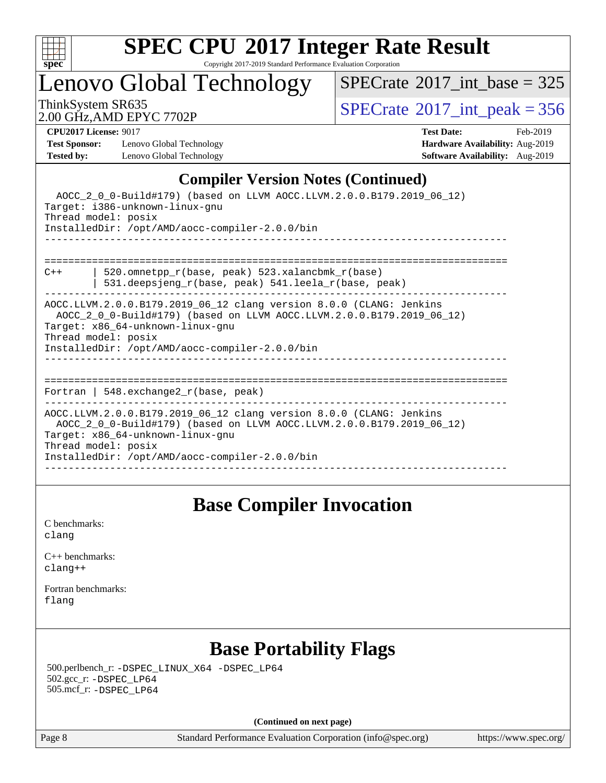

Copyright 2017-2019 Standard Performance Evaluation Corporation

Lenovo Global Technology

 $SPECrate$ <sup>®</sup>[2017\\_int\\_base =](http://www.spec.org/auto/cpu2017/Docs/result-fields.html#SPECrate2017intbase) 325

2.00 GHz,AMD EPYC 7702P

ThinkSystem SR635<br>2.00 GHz AMD FPYC 7702P<br> $\begin{array}{c} | \text{SPECrate} \text{?}2017\_int\_peak = 356 \end{array}$  $\begin{array}{c} | \text{SPECrate} \text{?}2017\_int\_peak = 356 \end{array}$  $\begin{array}{c} | \text{SPECrate} \text{?}2017\_int\_peak = 356 \end{array}$ 

**[Test Sponsor:](http://www.spec.org/auto/cpu2017/Docs/result-fields.html#TestSponsor)** Lenovo Global Technology **[Hardware Availability:](http://www.spec.org/auto/cpu2017/Docs/result-fields.html#HardwareAvailability)** Aug-2019 **[Tested by:](http://www.spec.org/auto/cpu2017/Docs/result-fields.html#Testedby)** Lenovo Global Technology **[Software Availability:](http://www.spec.org/auto/cpu2017/Docs/result-fields.html#SoftwareAvailability)** Aug-2019

**[CPU2017 License:](http://www.spec.org/auto/cpu2017/Docs/result-fields.html#CPU2017License)** 9017 **[Test Date:](http://www.spec.org/auto/cpu2017/Docs/result-fields.html#TestDate)** Feb-2019

### **[Compiler Version Notes \(Continued\)](http://www.spec.org/auto/cpu2017/Docs/result-fields.html#CompilerVersionNotes)**

| AOCC_2_0_0-Build#179) (based on LLVM AOCC.LLVM.2.0.0.B179.2019_06_12)<br>Target: i386-unknown-linux-gnu<br>Thread model: posix<br>InstalledDir: /opt/AMD/aocc-compiler-2.0.0/bin                                                                          |
|-----------------------------------------------------------------------------------------------------------------------------------------------------------------------------------------------------------------------------------------------------------|
| 520.omnetpp_r(base, peak) 523.xalancbmk_r(base)<br>$C++$<br>531.deepsjeng_r(base, peak) 541.leela_r(base, peak)                                                                                                                                           |
| AOCC.LLVM.2.0.0.B179.2019 06 12 clang version 8.0.0 (CLANG: Jenkins<br>AOCC_2_0_0-Build#179) (based on LLVM AOCC.LLVM.2.0.0.B179.2019_06_12)<br>Target: x86_64-unknown-linux-gnu<br>Thread model: posix<br>InstalledDir: /opt/AMD/aocc-compiler-2.0.0/bin |
| ====================<br>Fortran   548.exchange2 $r(base, peak)$                                                                                                                                                                                           |
| AOCC.LLVM.2.0.0.B179.2019_06_12 clang version 8.0.0 (CLANG: Jenkins<br>AOCC_2_0_0-Build#179) (based on LLVM AOCC.LLVM.2.0.0.B179.2019_06_12)<br>Target: x86_64-unknown-linux-gnu<br>Thread model: posix<br>InstalledDir: /opt/AMD/aocc-compiler-2.0.0/bin |

## **[Base Compiler Invocation](http://www.spec.org/auto/cpu2017/Docs/result-fields.html#BaseCompilerInvocation)**

[C benchmarks](http://www.spec.org/auto/cpu2017/Docs/result-fields.html#Cbenchmarks): [clang](http://www.spec.org/cpu2017/results/res2019q3/cpu2017-20190903-17662.flags.html#user_CCbase_clang-c)

[C++ benchmarks:](http://www.spec.org/auto/cpu2017/Docs/result-fields.html#CXXbenchmarks) [clang++](http://www.spec.org/cpu2017/results/res2019q3/cpu2017-20190903-17662.flags.html#user_CXXbase_clang-cpp)

[Fortran benchmarks](http://www.spec.org/auto/cpu2017/Docs/result-fields.html#Fortranbenchmarks): [flang](http://www.spec.org/cpu2017/results/res2019q3/cpu2017-20190903-17662.flags.html#user_FCbase_flang)

## **[Base Portability Flags](http://www.spec.org/auto/cpu2017/Docs/result-fields.html#BasePortabilityFlags)**

 500.perlbench\_r: [-DSPEC\\_LINUX\\_X64](http://www.spec.org/cpu2017/results/res2019q3/cpu2017-20190903-17662.flags.html#b500.perlbench_r_basePORTABILITY_DSPEC_LINUX_X64) [-DSPEC\\_LP64](http://www.spec.org/cpu2017/results/res2019q3/cpu2017-20190903-17662.flags.html#b500.perlbench_r_baseEXTRA_PORTABILITY_DSPEC_LP64) 502.gcc\_r: [-DSPEC\\_LP64](http://www.spec.org/cpu2017/results/res2019q3/cpu2017-20190903-17662.flags.html#suite_baseEXTRA_PORTABILITY502_gcc_r_DSPEC_LP64) 505.mcf\_r: [-DSPEC\\_LP64](http://www.spec.org/cpu2017/results/res2019q3/cpu2017-20190903-17662.flags.html#suite_baseEXTRA_PORTABILITY505_mcf_r_DSPEC_LP64)

**(Continued on next page)**

Page 8 Standard Performance Evaluation Corporation [\(info@spec.org\)](mailto:info@spec.org) <https://www.spec.org/>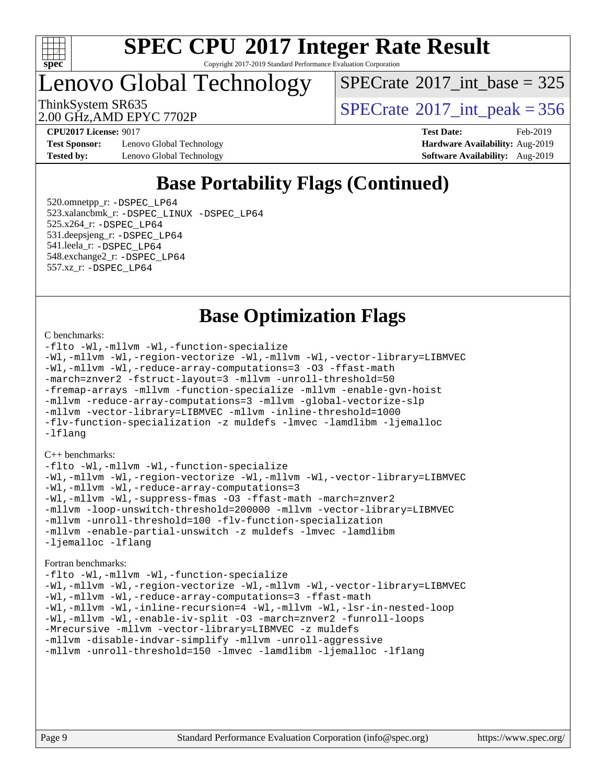

Copyright 2017-2019 Standard Performance Evaluation Corporation

# Lenovo Global Technology

 $SPECTate$ <sup>®</sup>[2017\\_int\\_base =](http://www.spec.org/auto/cpu2017/Docs/result-fields.html#SPECrate2017intbase) 325

2.00 GHz,AMD EPYC 7702P

ThinkSystem SR635<br>2.00 GHz AMD EPYC 7702P<br> $\begin{array}{c} | \text{SPECrate}^{\circ}2017\_int\_peak = 356 \end{array}$  $\begin{array}{c} | \text{SPECrate}^{\circ}2017\_int\_peak = 356 \end{array}$  $\begin{array}{c} | \text{SPECrate}^{\circ}2017\_int\_peak = 356 \end{array}$ 

**[Test Sponsor:](http://www.spec.org/auto/cpu2017/Docs/result-fields.html#TestSponsor)** Lenovo Global Technology **[Hardware Availability:](http://www.spec.org/auto/cpu2017/Docs/result-fields.html#HardwareAvailability)** Aug-2019 **[Tested by:](http://www.spec.org/auto/cpu2017/Docs/result-fields.html#Testedby)** Lenovo Global Technology **[Software Availability:](http://www.spec.org/auto/cpu2017/Docs/result-fields.html#SoftwareAvailability)** Aug-2019

**[CPU2017 License:](http://www.spec.org/auto/cpu2017/Docs/result-fields.html#CPU2017License)** 9017 **[Test Date:](http://www.spec.org/auto/cpu2017/Docs/result-fields.html#TestDate)** Feb-2019

## **[Base Portability Flags \(Continued\)](http://www.spec.org/auto/cpu2017/Docs/result-fields.html#BasePortabilityFlags)**

 520.omnetpp\_r: [-DSPEC\\_LP64](http://www.spec.org/cpu2017/results/res2019q3/cpu2017-20190903-17662.flags.html#suite_baseEXTRA_PORTABILITY520_omnetpp_r_DSPEC_LP64) 523.xalancbmk\_r: [-DSPEC\\_LINUX](http://www.spec.org/cpu2017/results/res2019q3/cpu2017-20190903-17662.flags.html#b523.xalancbmk_r_basePORTABILITY_DSPEC_LINUX) [-DSPEC\\_LP64](http://www.spec.org/cpu2017/results/res2019q3/cpu2017-20190903-17662.flags.html#suite_baseEXTRA_PORTABILITY523_xalancbmk_r_DSPEC_LP64) 525.x264\_r: [-DSPEC\\_LP64](http://www.spec.org/cpu2017/results/res2019q3/cpu2017-20190903-17662.flags.html#suite_baseEXTRA_PORTABILITY525_x264_r_DSPEC_LP64) 531.deepsjeng\_r: [-DSPEC\\_LP64](http://www.spec.org/cpu2017/results/res2019q3/cpu2017-20190903-17662.flags.html#suite_baseEXTRA_PORTABILITY531_deepsjeng_r_DSPEC_LP64) 541.leela\_r: [-DSPEC\\_LP64](http://www.spec.org/cpu2017/results/res2019q3/cpu2017-20190903-17662.flags.html#suite_baseEXTRA_PORTABILITY541_leela_r_DSPEC_LP64) 548.exchange2\_r: [-DSPEC\\_LP64](http://www.spec.org/cpu2017/results/res2019q3/cpu2017-20190903-17662.flags.html#suite_baseEXTRA_PORTABILITY548_exchange2_r_DSPEC_LP64) 557.xz\_r: [-DSPEC\\_LP64](http://www.spec.org/cpu2017/results/res2019q3/cpu2017-20190903-17662.flags.html#suite_baseEXTRA_PORTABILITY557_xz_r_DSPEC_LP64)

## **[Base Optimization Flags](http://www.spec.org/auto/cpu2017/Docs/result-fields.html#BaseOptimizationFlags)**

#### [C benchmarks](http://www.spec.org/auto/cpu2017/Docs/result-fields.html#Cbenchmarks):

[-flto](http://www.spec.org/cpu2017/results/res2019q3/cpu2017-20190903-17662.flags.html#user_CCbase_aocc-flto) [-Wl,-mllvm -Wl,-function-specialize](http://www.spec.org/cpu2017/results/res2019q3/cpu2017-20190903-17662.flags.html#user_CCbase_F-function-specialize_7e7e661e57922243ee67c9a1251cb8910e607325179a0ce7f2884e09a6f5d4a5ef0ae4f37e8a2a11c95fc48e931f06dc2b6016f14b511fcb441e048bef1b065a) [-Wl,-mllvm -Wl,-region-vectorize](http://www.spec.org/cpu2017/results/res2019q3/cpu2017-20190903-17662.flags.html#user_CCbase_F-region-vectorize_fb6c6b5aa293c88efc6c7c2b52b20755e943585b1fe8658c35afef78727fff56e1a56891413c30e36b8e2a6f9a71126986319243e80eb6110b78b288f533c52b) [-Wl,-mllvm -Wl,-vector-library=LIBMVEC](http://www.spec.org/cpu2017/results/res2019q3/cpu2017-20190903-17662.flags.html#user_CCbase_F-use-vector-library_0a14b27fae317f283640384a31f7bfcc2bd4c1d0b5cfc618a3a430800c9b20217b00f61303eff223a3251b4f06ffbc9739dc5296db9d1fbb9ad24a3939d86d66) [-Wl,-mllvm -Wl,-reduce-array-computations=3](http://www.spec.org/cpu2017/results/res2019q3/cpu2017-20190903-17662.flags.html#user_CCbase_F-reduce-array-computations_b882aefe7a5dda4e33149f6299762b9a720dace3e498e13756f4c04e5a19edf5315c1f3993de2e61ec41e8c206231f84e05da7040e1bb5d69ba27d10a12507e4) [-O3](http://www.spec.org/cpu2017/results/res2019q3/cpu2017-20190903-17662.flags.html#user_CCbase_F-O3) [-ffast-math](http://www.spec.org/cpu2017/results/res2019q3/cpu2017-20190903-17662.flags.html#user_CCbase_aocc-ffast-math) [-march=znver2](http://www.spec.org/cpu2017/results/res2019q3/cpu2017-20190903-17662.flags.html#user_CCbase_aocc-march_3e2e19cff2eeef60c5d90b059483627c9ea47eca6d66670dbd53f9185f6439e27eb5e104cf773e9e8ab18c8842ce63e461a3e948d0214bd567ef3ade411bf467) [-fstruct-layout=3](http://www.spec.org/cpu2017/results/res2019q3/cpu2017-20190903-17662.flags.html#user_CCbase_F-struct-layout) [-mllvm -unroll-threshold=50](http://www.spec.org/cpu2017/results/res2019q3/cpu2017-20190903-17662.flags.html#user_CCbase_F-unroll-threshold_458874500b2c105d6d5cb4d7a611c40e2b16e9e3d26b355fea72d644c3673b4de4b3932662f0ed3dbec75c491a13da2d2ca81180bd779dc531083ef1e1e549dc) [-fremap-arrays](http://www.spec.org/cpu2017/results/res2019q3/cpu2017-20190903-17662.flags.html#user_CCbase_F-fremap-arrays) [-mllvm -function-specialize](http://www.spec.org/cpu2017/results/res2019q3/cpu2017-20190903-17662.flags.html#user_CCbase_F-function-specialize_233b3bdba86027f1b094368157e481c5bc59f40286dc25bfadc1858dcd5745c24fd30d5f188710db7fea399bcc9f44a80b3ce3aacc70a8870250c3ae5e1f35b8) [-mllvm -enable-gvn-hoist](http://www.spec.org/cpu2017/results/res2019q3/cpu2017-20190903-17662.flags.html#user_CCbase_F-enable-gvn-hoist_e5856354646dd6ca1333a0ad99b817e4cf8932b91b82809fd8fd47ceff7b22a89eba5c98fd3e3fa5200368fd772cec3dd56abc3c8f7b655a71b9f9848dddedd5) [-mllvm -reduce-array-computations=3](http://www.spec.org/cpu2017/results/res2019q3/cpu2017-20190903-17662.flags.html#user_CCbase_F-reduce-array-computations_aceadb8604558b566e0e3a0d7a3c1533923dd1fa0889614e16288028922629a28d5695c24d3b3be4306b1e311c54317dfffe3a2e57fbcaabc737a1798de39145) [-mllvm -global-vectorize-slp](http://www.spec.org/cpu2017/results/res2019q3/cpu2017-20190903-17662.flags.html#user_CCbase_F-global-vectorize-slp_a3935e8627af4ced727033b1ffd4db27f4d541a363d28d82bf4c2925fb3a0fd4115d6e42d13a2829f9e024d6608eb67a85cb49770f2da5c5ac8dbc737afad603) [-mllvm -vector-library=LIBMVEC](http://www.spec.org/cpu2017/results/res2019q3/cpu2017-20190903-17662.flags.html#user_CCbase_F-use-vector-library_e584e20b4f7ec96aa109254b65d8e01d864f3d68580371b9d93ed7c338191d4cfce20c3c864632264effc6bbe4c7c38153d02096a342ee92501c4a53204a7871) [-mllvm -inline-threshold=1000](http://www.spec.org/cpu2017/results/res2019q3/cpu2017-20190903-17662.flags.html#user_CCbase_dragonegg-llvm-inline-threshold_b7832241b0a6397e4ecdbaf0eb7defdc10f885c2a282fa3240fdc99844d543fda39cf8a4a9dccf68cf19b5438ac3b455264f478df15da0f4988afa40d8243bab) [-flv-function-specialization](http://www.spec.org/cpu2017/results/res2019q3/cpu2017-20190903-17662.flags.html#user_CCbase_F-flv-function-specialization) [-z muldefs](http://www.spec.org/cpu2017/results/res2019q3/cpu2017-20190903-17662.flags.html#user_CCbase_aocc-muldefs) [-lmvec](http://www.spec.org/cpu2017/results/res2019q3/cpu2017-20190903-17662.flags.html#user_CCbase_F-lmvec) [-lamdlibm](http://www.spec.org/cpu2017/results/res2019q3/cpu2017-20190903-17662.flags.html#user_CCbase_F-lamdlibm) [-ljemalloc](http://www.spec.org/cpu2017/results/res2019q3/cpu2017-20190903-17662.flags.html#user_CCbase_jemalloc-lib) [-lflang](http://www.spec.org/cpu2017/results/res2019q3/cpu2017-20190903-17662.flags.html#user_CCbase_F-lflang)

#### [C++ benchmarks:](http://www.spec.org/auto/cpu2017/Docs/result-fields.html#CXXbenchmarks)

[-flto](http://www.spec.org/cpu2017/results/res2019q3/cpu2017-20190903-17662.flags.html#user_CXXbase_aocc-flto) [-Wl,-mllvm -Wl,-function-specialize](http://www.spec.org/cpu2017/results/res2019q3/cpu2017-20190903-17662.flags.html#user_CXXbase_F-function-specialize_7e7e661e57922243ee67c9a1251cb8910e607325179a0ce7f2884e09a6f5d4a5ef0ae4f37e8a2a11c95fc48e931f06dc2b6016f14b511fcb441e048bef1b065a) [-Wl,-mllvm -Wl,-region-vectorize](http://www.spec.org/cpu2017/results/res2019q3/cpu2017-20190903-17662.flags.html#user_CXXbase_F-region-vectorize_fb6c6b5aa293c88efc6c7c2b52b20755e943585b1fe8658c35afef78727fff56e1a56891413c30e36b8e2a6f9a71126986319243e80eb6110b78b288f533c52b) [-Wl,-mllvm -Wl,-vector-library=LIBMVEC](http://www.spec.org/cpu2017/results/res2019q3/cpu2017-20190903-17662.flags.html#user_CXXbase_F-use-vector-library_0a14b27fae317f283640384a31f7bfcc2bd4c1d0b5cfc618a3a430800c9b20217b00f61303eff223a3251b4f06ffbc9739dc5296db9d1fbb9ad24a3939d86d66) [-Wl,-mllvm -Wl,-reduce-array-computations=3](http://www.spec.org/cpu2017/results/res2019q3/cpu2017-20190903-17662.flags.html#user_CXXbase_F-reduce-array-computations_b882aefe7a5dda4e33149f6299762b9a720dace3e498e13756f4c04e5a19edf5315c1f3993de2e61ec41e8c206231f84e05da7040e1bb5d69ba27d10a12507e4) [-Wl,-mllvm -Wl,-suppress-fmas](http://www.spec.org/cpu2017/results/res2019q3/cpu2017-20190903-17662.flags.html#user_CXXbase_F-suppress-fmas_f00f00630e4a059e8af9c161e9bbf420bcf19890a7f99d5933525e66aa4b0bb3ab2339d2b12d97d3a5f5d271e839fe9c109938e91fe06230fb53651590cfa1e8) [-O3](http://www.spec.org/cpu2017/results/res2019q3/cpu2017-20190903-17662.flags.html#user_CXXbase_F-O3) [-ffast-math](http://www.spec.org/cpu2017/results/res2019q3/cpu2017-20190903-17662.flags.html#user_CXXbase_aocc-ffast-math) [-march=znver2](http://www.spec.org/cpu2017/results/res2019q3/cpu2017-20190903-17662.flags.html#user_CXXbase_aocc-march_3e2e19cff2eeef60c5d90b059483627c9ea47eca6d66670dbd53f9185f6439e27eb5e104cf773e9e8ab18c8842ce63e461a3e948d0214bd567ef3ade411bf467) [-mllvm -loop-unswitch-threshold=200000](http://www.spec.org/cpu2017/results/res2019q3/cpu2017-20190903-17662.flags.html#user_CXXbase_F-loop-unswitch-threshold_f9a82ae3270e55b5fbf79d0d96ee93606b73edbbe527d20b18b7bff1a3a146ad50cfc7454c5297978340ae9213029016a7d16221274d672d3f7f42ed25274e1d) [-mllvm -vector-library=LIBMVEC](http://www.spec.org/cpu2017/results/res2019q3/cpu2017-20190903-17662.flags.html#user_CXXbase_F-use-vector-library_e584e20b4f7ec96aa109254b65d8e01d864f3d68580371b9d93ed7c338191d4cfce20c3c864632264effc6bbe4c7c38153d02096a342ee92501c4a53204a7871) [-mllvm -unroll-threshold=100](http://www.spec.org/cpu2017/results/res2019q3/cpu2017-20190903-17662.flags.html#user_CXXbase_F-unroll-threshold_2755d0c78138845d361fa1543e3a063fffa198df9b3edf0cfb856bbc88a81e1769b12ac7a550c5d35197be55360db1a3f95a8d1304df999456cabf5120c45168) [-flv-function-specialization](http://www.spec.org/cpu2017/results/res2019q3/cpu2017-20190903-17662.flags.html#user_CXXbase_F-flv-function-specialization) [-mllvm -enable-partial-unswitch](http://www.spec.org/cpu2017/results/res2019q3/cpu2017-20190903-17662.flags.html#user_CXXbase_F-enable-partial-unswitch_6e1c33f981d77963b1eaf834973128a7f33ce3f8e27f54689656697a35e89dcc875281e0e6283d043e32f367dcb605ba0e307a92e830f7e326789fa6c61b35d3) [-z muldefs](http://www.spec.org/cpu2017/results/res2019q3/cpu2017-20190903-17662.flags.html#user_CXXbase_aocc-muldefs) [-lmvec](http://www.spec.org/cpu2017/results/res2019q3/cpu2017-20190903-17662.flags.html#user_CXXbase_F-lmvec) [-lamdlibm](http://www.spec.org/cpu2017/results/res2019q3/cpu2017-20190903-17662.flags.html#user_CXXbase_F-lamdlibm) [-ljemalloc](http://www.spec.org/cpu2017/results/res2019q3/cpu2017-20190903-17662.flags.html#user_CXXbase_jemalloc-lib) [-lflang](http://www.spec.org/cpu2017/results/res2019q3/cpu2017-20190903-17662.flags.html#user_CXXbase_F-lflang)

#### [Fortran benchmarks](http://www.spec.org/auto/cpu2017/Docs/result-fields.html#Fortranbenchmarks):

```
-flto -Wl,-mllvm -Wl,-function-specialize
-Wl,-mllvm -Wl,-region-vectorize -Wl,-mllvm -Wl,-vector-library=LIBMVEC
-Wl,-mllvm -Wl,-reduce-array-computations=3 -ffast-math
-Wl,-mllvm -Wl,-inline-recursion=4 -Wl,-mllvm -Wl,-lsr-in-nested-loop
-Wl,-mllvm -Wl,-enable-iv-split -O3 -march=znver2 -funroll-loops
-Mrecursive -mllvm -vector-library=LIBMVEC -z muldefs
-mllvm -disable-indvar-simplify -mllvm -unroll-aggressive
-mllvm -unroll-threshold=150 -lmvec -lamdlibm -ljemalloc -lflang
```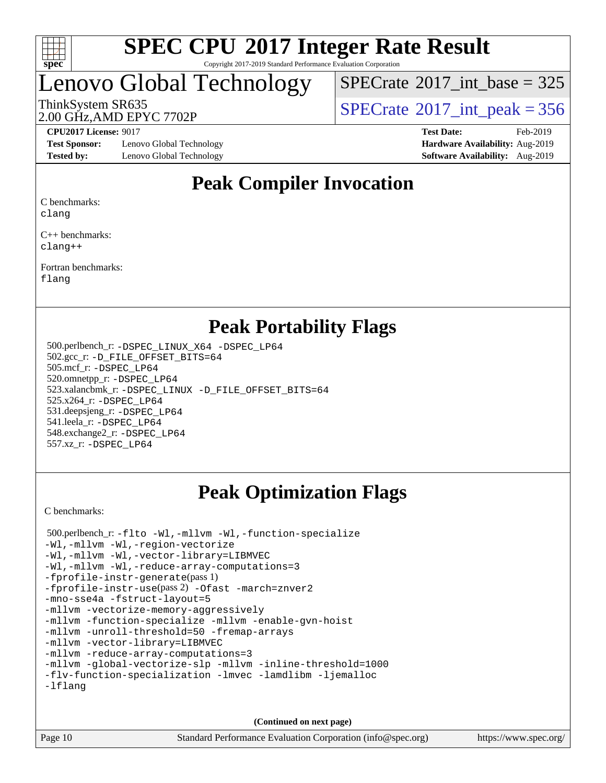

Copyright 2017-2019 Standard Performance Evaluation Corporation

# Lenovo Global Technology

 $SPECTate$ <sup>®</sup>[2017\\_int\\_base =](http://www.spec.org/auto/cpu2017/Docs/result-fields.html#SPECrate2017intbase) 325

2.00 GHz,AMD EPYC 7702P

ThinkSystem SR635<br>2.00 GHz AMD ERVC 7702R

**[Test Sponsor:](http://www.spec.org/auto/cpu2017/Docs/result-fields.html#TestSponsor)** Lenovo Global Technology **[Hardware Availability:](http://www.spec.org/auto/cpu2017/Docs/result-fields.html#HardwareAvailability)** Aug-2019 **[Tested by:](http://www.spec.org/auto/cpu2017/Docs/result-fields.html#Testedby)** Lenovo Global Technology **[Software Availability:](http://www.spec.org/auto/cpu2017/Docs/result-fields.html#SoftwareAvailability)** Aug-2019

**[CPU2017 License:](http://www.spec.org/auto/cpu2017/Docs/result-fields.html#CPU2017License)** 9017 **[Test Date:](http://www.spec.org/auto/cpu2017/Docs/result-fields.html#TestDate)** Feb-2019

## **[Peak Compiler Invocation](http://www.spec.org/auto/cpu2017/Docs/result-fields.html#PeakCompilerInvocation)**

[C benchmarks:](http://www.spec.org/auto/cpu2017/Docs/result-fields.html#Cbenchmarks)

[clang](http://www.spec.org/cpu2017/results/res2019q3/cpu2017-20190903-17662.flags.html#user_CCpeak_clang-c)

[C++ benchmarks:](http://www.spec.org/auto/cpu2017/Docs/result-fields.html#CXXbenchmarks) [clang++](http://www.spec.org/cpu2017/results/res2019q3/cpu2017-20190903-17662.flags.html#user_CXXpeak_clang-cpp)

[Fortran benchmarks](http://www.spec.org/auto/cpu2017/Docs/result-fields.html#Fortranbenchmarks):

[flang](http://www.spec.org/cpu2017/results/res2019q3/cpu2017-20190903-17662.flags.html#user_FCpeak_flang)

## **[Peak Portability Flags](http://www.spec.org/auto/cpu2017/Docs/result-fields.html#PeakPortabilityFlags)**

 500.perlbench\_r: [-DSPEC\\_LINUX\\_X64](http://www.spec.org/cpu2017/results/res2019q3/cpu2017-20190903-17662.flags.html#b500.perlbench_r_peakPORTABILITY_DSPEC_LINUX_X64) [-DSPEC\\_LP64](http://www.spec.org/cpu2017/results/res2019q3/cpu2017-20190903-17662.flags.html#b500.perlbench_r_peakEXTRA_PORTABILITY_DSPEC_LP64) 502.gcc\_r: [-D\\_FILE\\_OFFSET\\_BITS=64](http://www.spec.org/cpu2017/results/res2019q3/cpu2017-20190903-17662.flags.html#user_peakEXTRA_PORTABILITY502_gcc_r_F-D_FILE_OFFSET_BITS_5ae949a99b284ddf4e95728d47cb0843d81b2eb0e18bdfe74bbf0f61d0b064f4bda2f10ea5eb90e1dcab0e84dbc592acfc5018bc955c18609f94ddb8d550002c) 505.mcf\_r: [-DSPEC\\_LP64](http://www.spec.org/cpu2017/results/res2019q3/cpu2017-20190903-17662.flags.html#suite_peakEXTRA_PORTABILITY505_mcf_r_DSPEC_LP64) 520.omnetpp\_r: [-DSPEC\\_LP64](http://www.spec.org/cpu2017/results/res2019q3/cpu2017-20190903-17662.flags.html#suite_peakEXTRA_PORTABILITY520_omnetpp_r_DSPEC_LP64) 523.xalancbmk\_r: [-DSPEC\\_LINUX](http://www.spec.org/cpu2017/results/res2019q3/cpu2017-20190903-17662.flags.html#b523.xalancbmk_r_peakPORTABILITY_DSPEC_LINUX) [-D\\_FILE\\_OFFSET\\_BITS=64](http://www.spec.org/cpu2017/results/res2019q3/cpu2017-20190903-17662.flags.html#user_peakEXTRA_PORTABILITY523_xalancbmk_r_F-D_FILE_OFFSET_BITS_5ae949a99b284ddf4e95728d47cb0843d81b2eb0e18bdfe74bbf0f61d0b064f4bda2f10ea5eb90e1dcab0e84dbc592acfc5018bc955c18609f94ddb8d550002c) 525.x264\_r: [-DSPEC\\_LP64](http://www.spec.org/cpu2017/results/res2019q3/cpu2017-20190903-17662.flags.html#suite_peakEXTRA_PORTABILITY525_x264_r_DSPEC_LP64) 531.deepsjeng\_r: [-DSPEC\\_LP64](http://www.spec.org/cpu2017/results/res2019q3/cpu2017-20190903-17662.flags.html#suite_peakEXTRA_PORTABILITY531_deepsjeng_r_DSPEC_LP64) 541.leela\_r: [-DSPEC\\_LP64](http://www.spec.org/cpu2017/results/res2019q3/cpu2017-20190903-17662.flags.html#suite_peakEXTRA_PORTABILITY541_leela_r_DSPEC_LP64) 548.exchange2\_r: [-DSPEC\\_LP64](http://www.spec.org/cpu2017/results/res2019q3/cpu2017-20190903-17662.flags.html#suite_peakEXTRA_PORTABILITY548_exchange2_r_DSPEC_LP64) 557.xz\_r: [-DSPEC\\_LP64](http://www.spec.org/cpu2017/results/res2019q3/cpu2017-20190903-17662.flags.html#suite_peakEXTRA_PORTABILITY557_xz_r_DSPEC_LP64)

## **[Peak Optimization Flags](http://www.spec.org/auto/cpu2017/Docs/result-fields.html#PeakOptimizationFlags)**

[C benchmarks](http://www.spec.org/auto/cpu2017/Docs/result-fields.html#Cbenchmarks):

 500.perlbench\_r: [-flto](http://www.spec.org/cpu2017/results/res2019q3/cpu2017-20190903-17662.flags.html#user_peakCOPTIMIZELDFLAGS500_perlbench_r_aocc-flto) [-Wl,-mllvm -Wl,-function-specialize](http://www.spec.org/cpu2017/results/res2019q3/cpu2017-20190903-17662.flags.html#user_peakLDFLAGS500_perlbench_r_F-function-specialize_7e7e661e57922243ee67c9a1251cb8910e607325179a0ce7f2884e09a6f5d4a5ef0ae4f37e8a2a11c95fc48e931f06dc2b6016f14b511fcb441e048bef1b065a) [-Wl,-mllvm -Wl,-region-vectorize](http://www.spec.org/cpu2017/results/res2019q3/cpu2017-20190903-17662.flags.html#user_peakLDFLAGS500_perlbench_r_F-region-vectorize_fb6c6b5aa293c88efc6c7c2b52b20755e943585b1fe8658c35afef78727fff56e1a56891413c30e36b8e2a6f9a71126986319243e80eb6110b78b288f533c52b) [-Wl,-mllvm -Wl,-vector-library=LIBMVEC](http://www.spec.org/cpu2017/results/res2019q3/cpu2017-20190903-17662.flags.html#user_peakLDFLAGS500_perlbench_r_F-use-vector-library_0a14b27fae317f283640384a31f7bfcc2bd4c1d0b5cfc618a3a430800c9b20217b00f61303eff223a3251b4f06ffbc9739dc5296db9d1fbb9ad24a3939d86d66) [-Wl,-mllvm -Wl,-reduce-array-computations=3](http://www.spec.org/cpu2017/results/res2019q3/cpu2017-20190903-17662.flags.html#user_peakLDFLAGS500_perlbench_r_F-reduce-array-computations_b882aefe7a5dda4e33149f6299762b9a720dace3e498e13756f4c04e5a19edf5315c1f3993de2e61ec41e8c206231f84e05da7040e1bb5d69ba27d10a12507e4) [-fprofile-instr-generate](http://www.spec.org/cpu2017/results/res2019q3/cpu2017-20190903-17662.flags.html#user_peakPASS1_CFLAGSPASS1_LDFLAGS500_perlbench_r_F-fprofile-instr-generate)(pass 1) [-fprofile-instr-use](http://www.spec.org/cpu2017/results/res2019q3/cpu2017-20190903-17662.flags.html#user_peakPASS2_CFLAGSPASS2_LDFLAGS500_perlbench_r_F-fprofile-instr-use)(pass 2) [-Ofast](http://www.spec.org/cpu2017/results/res2019q3/cpu2017-20190903-17662.flags.html#user_peakCOPTIMIZE500_perlbench_r_aocc-Ofast) [-march=znver2](http://www.spec.org/cpu2017/results/res2019q3/cpu2017-20190903-17662.flags.html#user_peakCOPTIMIZE500_perlbench_r_aocc-march_3e2e19cff2eeef60c5d90b059483627c9ea47eca6d66670dbd53f9185f6439e27eb5e104cf773e9e8ab18c8842ce63e461a3e948d0214bd567ef3ade411bf467) [-mno-sse4a](http://www.spec.org/cpu2017/results/res2019q3/cpu2017-20190903-17662.flags.html#user_peakCOPTIMIZE500_perlbench_r_F-mno-sse4a) [-fstruct-layout=5](http://www.spec.org/cpu2017/results/res2019q3/cpu2017-20190903-17662.flags.html#user_peakCOPTIMIZE500_perlbench_r_F-struct-layout_0de9d3561e9f54a54e0843cce081bd13a08ab3e9a82696f3346606c2e11360c37113781019b02fa128d9f650e68f1ffd209bab5c3a026c1ad23e4e7f60646b23) [-mllvm -vectorize-memory-aggressively](http://www.spec.org/cpu2017/results/res2019q3/cpu2017-20190903-17662.flags.html#user_peakCOPTIMIZE500_perlbench_r_F-vectorize-memory-aggressively_24b72a4417f50ade9e698c5b3bed87ab456cc6fc8ec6439480cb84f36ad6a3975af6e87206dea402e3871a1464ff3d60bc798e0250f330177ba629a260df1857) [-mllvm -function-specialize](http://www.spec.org/cpu2017/results/res2019q3/cpu2017-20190903-17662.flags.html#user_peakCOPTIMIZE500_perlbench_r_F-function-specialize_233b3bdba86027f1b094368157e481c5bc59f40286dc25bfadc1858dcd5745c24fd30d5f188710db7fea399bcc9f44a80b3ce3aacc70a8870250c3ae5e1f35b8) [-mllvm -enable-gvn-hoist](http://www.spec.org/cpu2017/results/res2019q3/cpu2017-20190903-17662.flags.html#user_peakCOPTIMIZE500_perlbench_r_F-enable-gvn-hoist_e5856354646dd6ca1333a0ad99b817e4cf8932b91b82809fd8fd47ceff7b22a89eba5c98fd3e3fa5200368fd772cec3dd56abc3c8f7b655a71b9f9848dddedd5) [-mllvm -unroll-threshold=50](http://www.spec.org/cpu2017/results/res2019q3/cpu2017-20190903-17662.flags.html#user_peakCOPTIMIZE500_perlbench_r_F-unroll-threshold_458874500b2c105d6d5cb4d7a611c40e2b16e9e3d26b355fea72d644c3673b4de4b3932662f0ed3dbec75c491a13da2d2ca81180bd779dc531083ef1e1e549dc) [-fremap-arrays](http://www.spec.org/cpu2017/results/res2019q3/cpu2017-20190903-17662.flags.html#user_peakCOPTIMIZE500_perlbench_r_F-fremap-arrays) [-mllvm -vector-library=LIBMVEC](http://www.spec.org/cpu2017/results/res2019q3/cpu2017-20190903-17662.flags.html#user_peakCOPTIMIZE500_perlbench_r_F-use-vector-library_e584e20b4f7ec96aa109254b65d8e01d864f3d68580371b9d93ed7c338191d4cfce20c3c864632264effc6bbe4c7c38153d02096a342ee92501c4a53204a7871) [-mllvm -reduce-array-computations=3](http://www.spec.org/cpu2017/results/res2019q3/cpu2017-20190903-17662.flags.html#user_peakCOPTIMIZE500_perlbench_r_F-reduce-array-computations_aceadb8604558b566e0e3a0d7a3c1533923dd1fa0889614e16288028922629a28d5695c24d3b3be4306b1e311c54317dfffe3a2e57fbcaabc737a1798de39145) [-mllvm -global-vectorize-slp](http://www.spec.org/cpu2017/results/res2019q3/cpu2017-20190903-17662.flags.html#user_peakCOPTIMIZE500_perlbench_r_F-global-vectorize-slp_a3935e8627af4ced727033b1ffd4db27f4d541a363d28d82bf4c2925fb3a0fd4115d6e42d13a2829f9e024d6608eb67a85cb49770f2da5c5ac8dbc737afad603) [-mllvm -inline-threshold=1000](http://www.spec.org/cpu2017/results/res2019q3/cpu2017-20190903-17662.flags.html#user_peakCOPTIMIZE500_perlbench_r_dragonegg-llvm-inline-threshold_b7832241b0a6397e4ecdbaf0eb7defdc10f885c2a282fa3240fdc99844d543fda39cf8a4a9dccf68cf19b5438ac3b455264f478df15da0f4988afa40d8243bab) [-flv-function-specialization](http://www.spec.org/cpu2017/results/res2019q3/cpu2017-20190903-17662.flags.html#user_peakCOPTIMIZE500_perlbench_r_F-flv-function-specialization) [-lmvec](http://www.spec.org/cpu2017/results/res2019q3/cpu2017-20190903-17662.flags.html#user_peakEXTRA_LIBSMATH_LIBS500_perlbench_r_F-lmvec) [-lamdlibm](http://www.spec.org/cpu2017/results/res2019q3/cpu2017-20190903-17662.flags.html#user_peakEXTRA_LIBSMATH_LIBS500_perlbench_r_F-lamdlibm) [-ljemalloc](http://www.spec.org/cpu2017/results/res2019q3/cpu2017-20190903-17662.flags.html#user_peakEXTRA_LIBS500_perlbench_r_jemalloc-lib) [-lflang](http://www.spec.org/cpu2017/results/res2019q3/cpu2017-20190903-17662.flags.html#user_peakEXTRA_LIBS500_perlbench_r_F-lflang)

**(Continued on next page)**

Page 10 Standard Performance Evaluation Corporation [\(info@spec.org\)](mailto:info@spec.org) <https://www.spec.org/>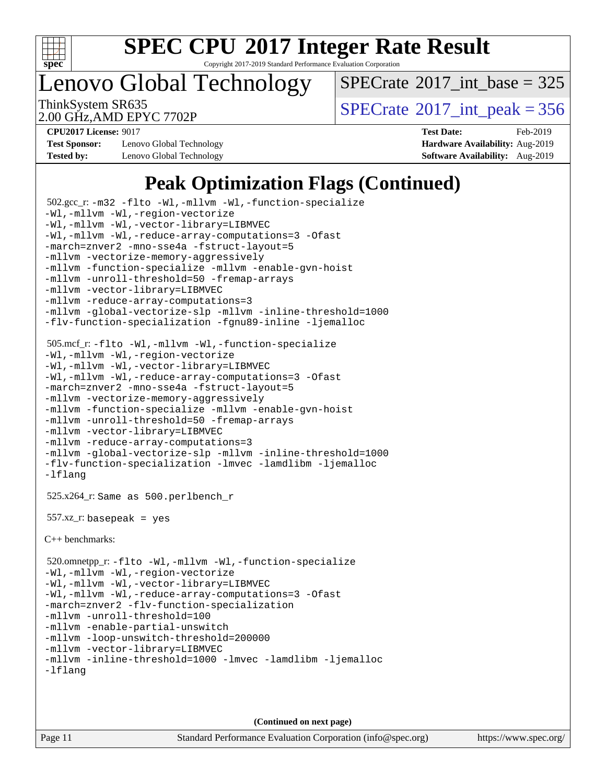

Copyright 2017-2019 Standard Performance Evaluation Corporation

Lenovo Global Technology

 $SPECTate$ <sup>®</sup>[2017\\_int\\_base =](http://www.spec.org/auto/cpu2017/Docs/result-fields.html#SPECrate2017intbase) 325

2.00 GHz,AMD EPYC 7702P

ThinkSystem SR635<br>2.00 GHz AMD EPYC 7702P<br> $\begin{array}{c} | \text{SPECrate}^{\circ}2017\_int\_peak = 356 \end{array}$  $\begin{array}{c} | \text{SPECrate}^{\circ}2017\_int\_peak = 356 \end{array}$  $\begin{array}{c} | \text{SPECrate}^{\circ}2017\_int\_peak = 356 \end{array}$ 

**[Test Sponsor:](http://www.spec.org/auto/cpu2017/Docs/result-fields.html#TestSponsor)** Lenovo Global Technology **[Hardware Availability:](http://www.spec.org/auto/cpu2017/Docs/result-fields.html#HardwareAvailability)** Aug-2019 **[Tested by:](http://www.spec.org/auto/cpu2017/Docs/result-fields.html#Testedby)** Lenovo Global Technology **[Software Availability:](http://www.spec.org/auto/cpu2017/Docs/result-fields.html#SoftwareAvailability)** Aug-2019

**[CPU2017 License:](http://www.spec.org/auto/cpu2017/Docs/result-fields.html#CPU2017License)** 9017 **[Test Date:](http://www.spec.org/auto/cpu2017/Docs/result-fields.html#TestDate)** Feb-2019

## **[Peak Optimization Flags \(Continued\)](http://www.spec.org/auto/cpu2017/Docs/result-fields.html#PeakOptimizationFlags)**

```
 502.gcc_r: -m32 -flto -Wl,-mllvm -Wl,-function-specialize
-Wl,-mllvm -Wl,-region-vectorize
-Wl,-mllvm -Wl,-vector-library=LIBMVEC
-Wl,-mllvm -Wl,-reduce-array-computations=3 -Ofast
-march=znver2 -mno-sse4a -fstruct-layout=5
-mllvm -vectorize-memory-aggressively
-mllvm -function-specialize -mllvm -enable-gvn-hoist
-mllvm -unroll-threshold=50 -fremap-arrays
-mllvm -vector-library=LIBMVEC
-mllvm -reduce-array-computations=3
-mllvm -global-vectorize-slp -mllvm -inline-threshold=1000
-flv-function-specialization -fgnu89-inline -ljemalloc
 505.mcf_r: -flto -Wl,-mllvm -Wl,-function-specialize
-Wl,-mllvm -Wl,-region-vectorize
-Wl,-mllvm -Wl,-vector-library=LIBMVEC
-Wl,-mllvm -Wl,-reduce-array-computations=3 -Ofast
-march=znver2 -mno-sse4a -fstruct-layout=5
-mllvm -vectorize-memory-aggressively
-mllvm -function-specialize -mllvm -enable-gvn-hoist
-mllvm -unroll-threshold=50 -fremap-arrays
-mllvm -vector-library=LIBMVEC
-mllvm -reduce-array-computations=3
-mllvm -global-vectorize-slp -mllvm -inline-threshold=1000
-flv-function-specialization -lmvec -lamdlibm -ljemalloc
-lflang
 525.x264_r: Same as 500.perlbench_r
 557.xz_r: basepeak = yes
C++ benchmarks: 
 520.omnetpp_r: -flto -Wl,-mllvm -Wl,-function-specialize
-Wl,-mllvm -Wl,-region-vectorize
-Wl,-mllvm -Wl,-vector-library=LIBMVEC
-Wl,-mllvm -Wl,-reduce-array-computations=3 -Ofast
-march=znver2 -flv-function-specialization
-mllvm -unroll-threshold=100
-mllvm -enable-partial-unswitch
-mllvm -loop-unswitch-threshold=200000
-mllvm -vector-library=LIBMVEC
-mllvm -inline-threshold=1000 -lmvec -lamdlibm -ljemalloc
-lflang
```